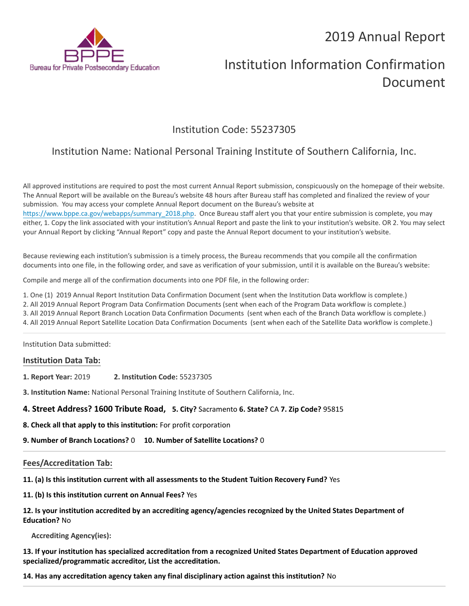

# Institution Information Confirmation Document

## Institution Code: 55237305

## Institution Name: National Personal Training Institute of Southern California, Inc.

All approved institutions are required to post the most current Annual Report submission, conspicuously on the homepage of their website. The Annual Report will be available on the Bureau's website 48 hours after Bureau staff has completed and finalized the review of your submission. You may access your complete Annual Report document on the Bureau's website at [https://www.bppe.ca.gov/webapps/summary\\_2018.php.](https://www.bppe.ca.gov/webapps/summary_2018.php) Once Bureau staff alert you that your entire submission is complete, you may either, 1. Copy the link associated with your institution's Annual Report and paste the link to your institution's website. OR 2. You may select your Annual Report by clicking "Annual Report" copy and paste the Annual Report document to your institution's website.

Because reviewing each institution's submission is a timely process, the Bureau recommends that you compile all the confirmation documents into one file, in the following order, and save as verification of your submission, until it is available on the Bureau's website:

Compile and merge all of the confirmation documents into one PDF file, in the following order:

1. One (1) 2019 Annual Report Institution Data Confirmation Document (sent when the Institution Data workflow is complete.)

2. All 2019 Annual Report Program Data Confirmation Documents (sent when each of the Program Data workflow is complete.)

3. All 2019 Annual Report Branch Location Data Confirmation Documents (sent when each of the Branch Data workflow is complete.)

4. All 2019 Annual Report Satellite Location Data Confirmation Documents (sent when each of the Satellite Data workflow is complete.)

Institution Data submitted:

#### **Institution Data Tab:**

**1. Report Year:** 2019 **2. Institution Code:** 55237305

**3. Institution Name:** National Personal Training Institute of Southern California, Inc.

#### **4. Street Address? 1600 Tribute Road, 5. City?** Sacramento **6. State?** CA **7. Zip Code?** 95815

**8. Check all that apply to this institution:** For profit corporation

**9. Number of Branch Locations?** 0 **10. Number of Satellite Locations?** 0

#### **Fees/Accreditation Tab:**

**11. (a) Is this institution current with all assessments to the Student Tuition Recovery Fund?** Yes

**11. (b) Is this institution current on Annual Fees?** Yes

#### **12. Is your institution accredited by an accrediting agency/agencies recognized by the United States Department of Education?** No

**Accrediting Agency(ies):**

**13. If your institution has specialized accreditation from a recognized United States Department of Education approved specialized/programmatic accreditor, List the accreditation.**

**14. Has any accreditation agency taken any final disciplinary action against this institution?** No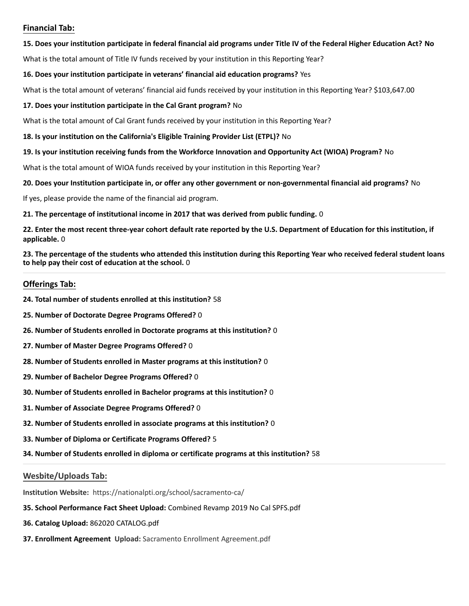#### **Financial Tab:**

#### **15. Does your institution participate in federal financial aid programs under Title IV of the Federal Higher Education Act? No**

What is the total amount of Title IV funds received by your institution in this Reporting Year?

#### **16. Does your institution participate in veterans' financial aid education programs?** Yes

What is the total amount of veterans' financial aid funds received by your institution in this Reporting Year? \$103,647.00

#### **17. Does your institution participate in the Cal Grant program?** No

What is the total amount of Cal Grant funds received by your institution in this Reporting Year?

#### **18. Is your institution on the California's Eligible Training Provider List (ETPL)?** No

#### **19. Is your institution receiving funds from the Workforce Innovation and Opportunity Act (WIOA) Program?** No

What is the total amount of WIOA funds received by your institution in this Reporting Year?

#### **20. Does your Institution participate in, or offer any other government or non-governmental financial aid programs?** No

If yes, please provide the name of the financial aid program.

#### **21. The percentage of institutional income in 2017 that was derived from public funding.** 0

**22. Enter the most recent three-year cohort default rate reported by the U.S. Department of Education for this institution, if applicable.** 0

**23. The percentage of the students who attended this institution during this Reporting Year who received federal student loans to help pay their cost of education at the school.** 0

#### **Offerings Tab:**

- **24. Total number of students enrolled at this institution?** 58
- **25. Number of Doctorate Degree Programs Offered?** 0
- **26. Number of Students enrolled in Doctorate programs at this institution?** 0
- **27. Number of Master Degree Programs Offered?** 0
- **28. Number of Students enrolled in Master programs at this institution?** 0
- **29. Number of Bachelor Degree Programs Offered?** 0
- **30. Number of Students enrolled in Bachelor programs at this institution?** 0
- **31. Number of Associate Degree Programs Offered?** 0
- **32. Number of Students enrolled in associate programs at this institution?** 0
- **33. Number of Diploma or Certificate Programs Offered?** 5
- **34. Number of Students enrolled in diploma or certificate programs at this institution?** 58

#### **Wesbite/Uploads Tab:**

**Institution Website:**  https://nationalpti.org/school/sacramento-ca/

- **35. School Performance Fact Sheet Upload:** Combined Revamp 2019 No Cal SPFS.pdf
- **36. Catalog Upload:** 862020 CATALOG.pdf
- **37. Enrollment Agreement Upload:** Sacramento Enrollment Agreement.pdf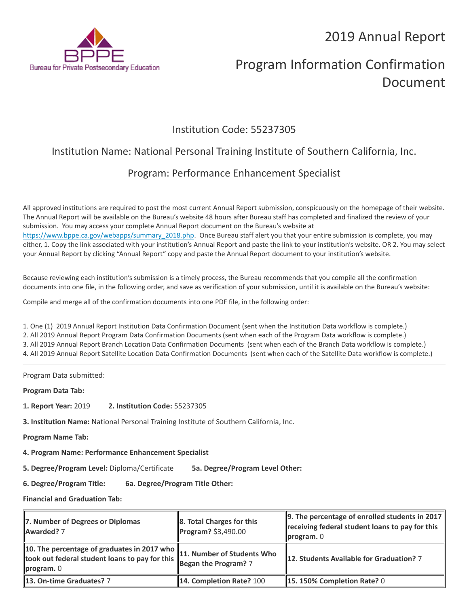

# Program Information Confirmation Document

### Institution Code: 55237305

## Institution Name: National Personal Training Institute of Southern California, Inc.

## Program: Performance Enhancement Specialist

All approved institutions are required to post the most current Annual Report submission, conspicuously on the homepage of their website. The Annual Report will be available on the Bureau's website 48 hours after Bureau staff has completed and finalized the review of your submission. You may access your complete Annual Report document on the Bureau's website at [https://www.bppe.ca.gov/webapps/summary\\_2018.php.](https://www.bppe.ca.gov/webapps/summary_2018.php) Once Bureau staff alert you that your entire submission is complete, you may either, 1. Copy the link associated with your institution's Annual Report and paste the link to your institution's website. OR 2. You may select your Annual Report by clicking "Annual Report" copy and paste the Annual Report document to your institution's website.

Because reviewing each institution's submission is a timely process, the Bureau recommends that you compile all the confirmation documents into one file, in the following order, and save as verification of your submission, until it is available on the Bureau's website:

Compile and merge all of the confirmation documents into one PDF file, in the following order:

1. One (1) 2019 Annual Report Institution Data Confirmation Document (sent when the Institution Data workflow is complete.) 2. All 2019 Annual Report Program Data Confirmation Documents (sent when each of the Program Data workflow is complete.) 3. All 2019 Annual Report Branch Location Data Confirmation Documents (sent when each of the Branch Data workflow is complete.) 4. All 2019 Annual Report Satellite Location Data Confirmation Documents (sent when each of the Satellite Data workflow is complete.)

Program Data submitted:

**Program Data Tab:**

- **1. Report Year:** 2019 **2. Institution Code:** 55237305
- **3. Institution Name:** National Personal Training Institute of Southern California, Inc.
- **Program Name Tab:**
- **4. Program Name: Performance Enhancement Specialist**

**5. Degree/Program Level:** Diploma/Certificate **5a. Degree/Program Level Other:**

**6. Degree/Program Title: 6a. Degree/Program Title Other:**

| 7. Number of Degrees or Diplomas<br>Awarded? 7                                                                                                                                           | 8. Total Charges for this<br>Program? \$3,490.00 | 9. The percentage of enrolled students in 2017<br>receiving federal student loans to pay for this<br>$\parallel$ program. $\theta$ |
|------------------------------------------------------------------------------------------------------------------------------------------------------------------------------------------|--------------------------------------------------|------------------------------------------------------------------------------------------------------------------------------------|
| 10. The percentage of graduates in 2017 who $\parallel$ 11. Number of Students Who<br>took out federal student loans to pay for this Began the Program? 7<br>$\blacksquare$ program. $0$ |                                                  | 12. Students Available for Graduation? 7                                                                                           |
| 13. On-time Graduates? 7                                                                                                                                                                 | 14. Completion Rate? 100                         | <b>15. 150% Completion Rate? 0</b>                                                                                                 |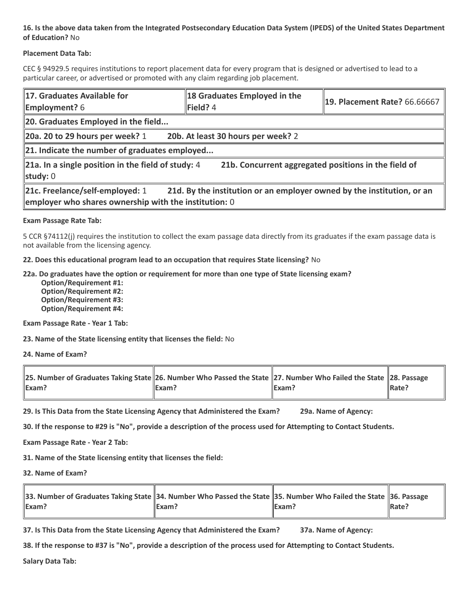#### **Placement Data Tab:**

CEC § 94929.5 requires institutions to report placement data for every program that is designed or advertised to lead to a particular career, or advertised or promoted with any claim regarding job placement.

| 17. Graduates Available for<br><b>Employment?</b> 6                                        | 18 Graduates Employed in the<br>Field? 4                               | <b>19. Placement Rate? 66.66667</b> |  |
|--------------------------------------------------------------------------------------------|------------------------------------------------------------------------|-------------------------------------|--|
| 20. Graduates Employed in the field                                                        |                                                                        |                                     |  |
| 20a. 20 to 29 hours per week? 1                                                            | 20b. At least 30 hours per week? 2                                     |                                     |  |
| 21. Indicate the number of graduates employed                                              |                                                                        |                                     |  |
| $\ $ 21a. In a single position in the field of study: 4<br>study: $0$                      | 21b. Concurrent aggregated positions in the field of                   |                                     |  |
| 21c. Freelance/self-employed: 1<br>employer who shares ownership with the institution: $0$ | 21d. By the institution or an employer owned by the institution, or an |                                     |  |

#### **Exam Passage Rate Tab:**

5 CCR §74112(j) requires the institution to collect the exam passage data directly from its graduates if the exam passage data is not available from the licensing agency.

**22. Does this educational program lead to an occupation that requires State licensing?** No

**22a. Do graduates have the option or requirement for more than one type of State licensing exam?**

 **Option/Requirement #1: Option/Requirement #2: Option/Requirement #3: Option/Requirement #4:**

**Exam Passage Rate - Year 1 Tab:**

**23. Name of the State licensing entity that licenses the field:** No

**24. Name of Exam?**

| 28. Number of Graduates Taking State 26. Number Who Passed the State 27. Number Who Failed the State 28. Passage |       |       |                   |
|------------------------------------------------------------------------------------------------------------------|-------|-------|-------------------|
| <b>IExam?</b>                                                                                                    | Exam? | Exam? | $\parallel$ Rate? |

**29. Is This Data from the State Licensing Agency that Administered the Exam? 29a. Name of Agency:**

**30. If the response to #29 is "No", provide a description of the process used for Attempting to Contact Students.**

**Exam Passage Rate - Year 2 Tab:**

**31. Name of the State licensing entity that licenses the field:**

**32. Name of Exam?**

| 36. Number of Graduates Taking State 34. Number Who Passed the State 35. Number Who Failed the State 36. Passage |         |                    |               |
|------------------------------------------------------------------------------------------------------------------|---------|--------------------|---------------|
| <b>IExam?</b>                                                                                                    | llExam? | $\mathsf{IExam}$ ? | <b>IRate?</b> |

**37. Is This Data from the State Licensing Agency that Administered the Exam? 37a. Name of Agency:**

**38. If the response to #37 is "No", provide a description of the process used for Attempting to Contact Students.**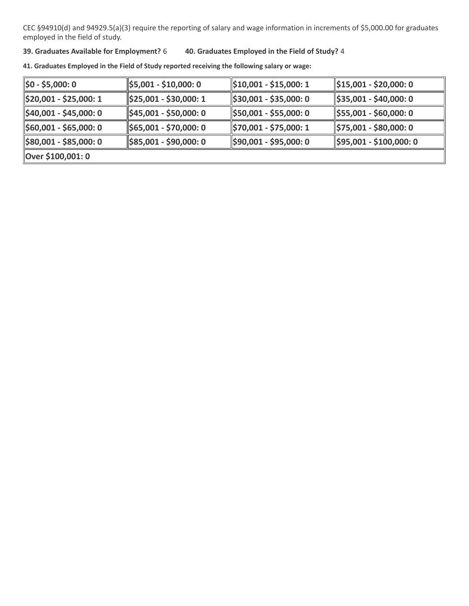#### **39. Graduates Available for Employment?** 6 **40. Graduates Employed in the Field of Study?** 4

| $\parallel$ \$0 - \$5,000: 0        | $\frac{1}{2}$ \$5,001 - \$10,000: 0  | $\frac{1510,001 - $15,000:1}{1}$    | \$15,001 - \$20,000: 0              |  |
|-------------------------------------|--------------------------------------|-------------------------------------|-------------------------------------|--|
| \$20,001 - \$25,000: 1              | $\frac{1}{2}$ \$25,001 - \$30,000: 1 | $\frac{1}{2}$ \$30,001 - \$35,000:0 | \$35,001 - \$40,000: 0              |  |
| $\frac{1}{2}40,001 - $45,000:0$     | $\parallel$ \$45,001 - \$50,000: 0   | \$50,001 - \$55,000: 0              | \$55,001 - \$60,000: 0              |  |
| $\frac{1560,001 - 565,000:0}{$      | $\parallel$ \$65,001 - \$70,000: 0   | \$70,001 - \$75,000: 1              | \$75,001 - \$80,000: 0              |  |
| $\frac{1}{2}$ \$80,001 - \$85,000:0 | $\frac{1}{2}$ \$85,001 - \$90,000: 0 | \$90,001 - \$95,000: 0              | $\parallel$ \$95,001 - \$100,000: 0 |  |
| Over \$100,001: 0                   |                                      |                                     |                                     |  |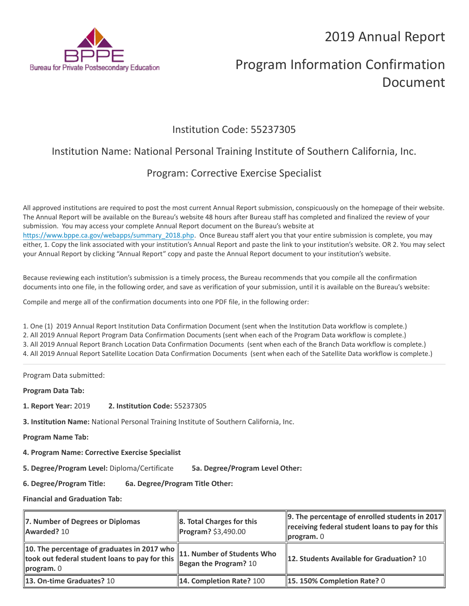

# Program Information Confirmation Document

### Institution Code: 55237305

## Institution Name: National Personal Training Institute of Southern California, Inc.

## Program: Corrective Exercise Specialist

All approved institutions are required to post the most current Annual Report submission, conspicuously on the homepage of their website. The Annual Report will be available on the Bureau's website 48 hours after Bureau staff has completed and finalized the review of your submission. You may access your complete Annual Report document on the Bureau's website at [https://www.bppe.ca.gov/webapps/summary\\_2018.php.](https://www.bppe.ca.gov/webapps/summary_2018.php) Once Bureau staff alert you that your entire submission is complete, you may either, 1. Copy the link associated with your institution's Annual Report and paste the link to your institution's website. OR 2. You may select your Annual Report by clicking "Annual Report" copy and paste the Annual Report document to your institution's website.

Because reviewing each institution's submission is a timely process, the Bureau recommends that you compile all the confirmation documents into one file, in the following order, and save as verification of your submission, until it is available on the Bureau's website:

Compile and merge all of the confirmation documents into one PDF file, in the following order:

1. One (1) 2019 Annual Report Institution Data Confirmation Document (sent when the Institution Data workflow is complete.) 2. All 2019 Annual Report Program Data Confirmation Documents (sent when each of the Program Data workflow is complete.) 3. All 2019 Annual Report Branch Location Data Confirmation Documents (sent when each of the Branch Data workflow is complete.) 4. All 2019 Annual Report Satellite Location Data Confirmation Documents (sent when each of the Satellite Data workflow is complete.)

Program Data submitted:

**Program Data Tab:**

- **1. Report Year:** 2019 **2. Institution Code:** 55237305
- **3. Institution Name:** National Personal Training Institute of Southern California, Inc.

**Program Name Tab:**

**4. Program Name: Corrective Exercise Specialist** 

**5. Degree/Program Level:** Diploma/Certificate **5a. Degree/Program Level Other:**

**6. Degree/Program Title: 6a. Degree/Program Title Other:**

| 7. Number of Degrees or Diplomas<br>Awarded? 10                                                                                                                               | $\ $ 8. Total Charges for this<br>$\ $ Program? \$3,490.00 | 9. The percentage of enrolled students in 2017  <br>receiving federal student loans to pay for this<br>$\parallel$ program. $\theta$ |
|-------------------------------------------------------------------------------------------------------------------------------------------------------------------------------|------------------------------------------------------------|--------------------------------------------------------------------------------------------------------------------------------------|
| 10. The percentage of graduates in 2017 who $\parallel$<br>took out federal student loans to pay for this <b>Figure 2016</b><br>Regan the Program? 10<br>$\vert$ program. $0$ | 11. Number of Students Who                                 | 12. Students Available for Graduation? 10                                                                                            |
| 13. On-time Graduates? 10                                                                                                                                                     | 14. Completion Rate? 100                                   | 15.150% Completion Rate? 0                                                                                                           |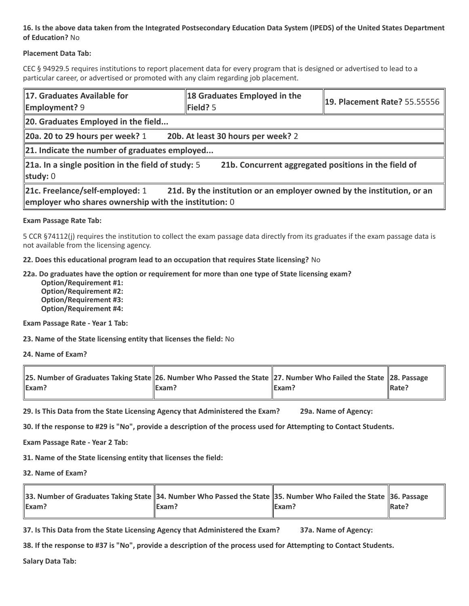#### **Placement Data Tab:**

CEC § 94929.5 requires institutions to report placement data for every program that is designed or advertised to lead to a particular career, or advertised or promoted with any claim regarding job placement.

| 17. Graduates Available for<br><b>Employment?</b> 9                                        | 18 Graduates Employed in the<br>Field? 5                               | <b>19. Placement Rate? 55.55556</b> |  |
|--------------------------------------------------------------------------------------------|------------------------------------------------------------------------|-------------------------------------|--|
| 20. Graduates Employed in the field                                                        |                                                                        |                                     |  |
| 20a. 20 to 29 hours per week? 1                                                            | 20b. At least 30 hours per week? 2                                     |                                     |  |
| 21. Indicate the number of graduates employed                                              |                                                                        |                                     |  |
| $\ $ 21a. In a single position in the field of study: 5<br>study: $0$                      | 21b. Concurrent aggregated positions in the field of                   |                                     |  |
| 21c. Freelance/self-employed: 1<br>employer who shares ownership with the institution: $0$ | 21d. By the institution or an employer owned by the institution, or an |                                     |  |

#### **Exam Passage Rate Tab:**

5 CCR §74112(j) requires the institution to collect the exam passage data directly from its graduates if the exam passage data is not available from the licensing agency.

**22. Does this educational program lead to an occupation that requires State licensing?** No

**22a. Do graduates have the option or requirement for more than one type of State licensing exam?**

 **Option/Requirement #1: Option/Requirement #2: Option/Requirement #3: Option/Requirement #4:**

**Exam Passage Rate - Year 1 Tab:**

**23. Name of the State licensing entity that licenses the field:** No

**24. Name of Exam?**

| 28. Number of Graduates Taking State 26. Number Who Passed the State 27. Number Who Failed the State 28. Passage |       |       |                   |
|------------------------------------------------------------------------------------------------------------------|-------|-------|-------------------|
| <b>IExam?</b>                                                                                                    | Exam? | Exam? | $\parallel$ Rate? |

**29. Is This Data from the State Licensing Agency that Administered the Exam? 29a. Name of Agency:**

**30. If the response to #29 is "No", provide a description of the process used for Attempting to Contact Students.**

**Exam Passage Rate - Year 2 Tab:**

**31. Name of the State licensing entity that licenses the field:**

**32. Name of Exam?**

| 33. Number of Graduates Taking State 34. Number Who Passed the State 35. Number Who Failed the State 36. Passage |         |               |               |
|------------------------------------------------------------------------------------------------------------------|---------|---------------|---------------|
| <b>IExam?</b>                                                                                                    | llExam? | <b>IExam?</b> | <b>IRate?</b> |

**37. Is This Data from the State Licensing Agency that Administered the Exam? 37a. Name of Agency:**

**38. If the response to #37 is "No", provide a description of the process used for Attempting to Contact Students.**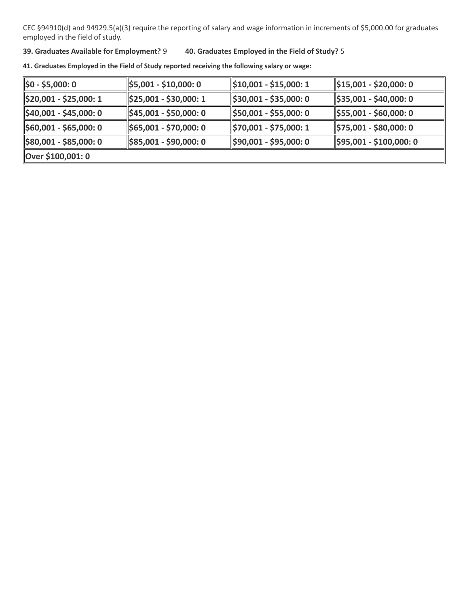#### **39. Graduates Available for Employment?** 9 **40. Graduates Employed in the Field of Study?** 5

| $\parallel$ \$0 - \$5,000: 0        | $\frac{1}{2}$ \$5,001 - \$10,000: 0  | $\parallel$ \$10,001 - \$15,000: 1  | \$15,001 - \$20,000: 0               |  |
|-------------------------------------|--------------------------------------|-------------------------------------|--------------------------------------|--|
| \$20,001 - \$25,000: 1              | $\frac{1}{2}$ \$25,001 - \$30,000: 1 | $\frac{1}{2}$ \$30,001 - \$35,000:0 | $\parallel$ \$35,001 - \$40,000: 0   |  |
| $\frac{1}{2}40,001 - $45,000:0$     | $\frac{1}{2}$ \$45,001 - \$50,000: 0 | \$50,001 - \$55,000: 0              | $\frac{1}{2}$ \$55,001 - \$60,000: 0 |  |
| $\frac{1}{2}$ \$60,001 - \$65,000:0 | $\parallel$ \$65,001 - \$70,000: 0   | \$70,001 - \$75,000: 1              | \$75,001 - \$80,000: 0               |  |
| $\frac{1}{2}$ \$80,001 - \$85,000:0 | $\parallel$ \$85,001 - \$90,000: 0   | \$90,001 - \$95,000: 0              | \$95,001 - \$100,000: 0              |  |
| Over \$100,001: 0                   |                                      |                                     |                                      |  |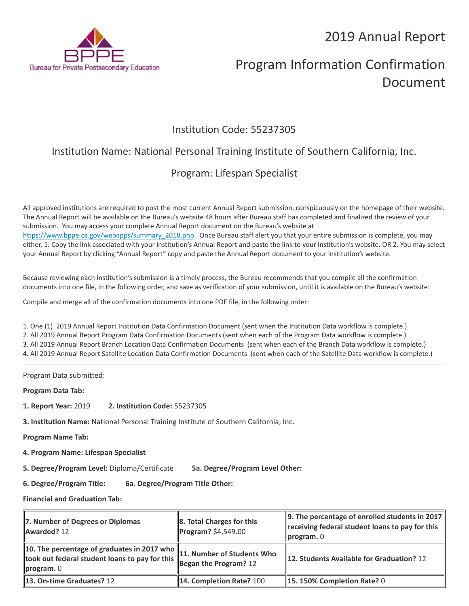

# Program Information Confirmation Document

### Institution Code: 55237305

## Institution Name: National Personal Training Institute of Southern California, Inc.

## Program: Lifespan Specialist

All approved institutions are required to post the most current Annual Report submission, conspicuously on the homepage of their website. The Annual Report will be available on the Bureau's website 48 hours after Bureau staff has completed and finalized the review of your submission. You may access your complete Annual Report document on the Bureau's website at [https://www.bppe.ca.gov/webapps/summary\\_2018.php.](https://www.bppe.ca.gov/webapps/summary_2018.php) Once Bureau staff alert you that your entire submission is complete, you may either, 1. Copy the link associated with your institution's Annual Report and paste the link to your institution's website. OR 2. You may select your Annual Report by clicking "Annual Report" copy and paste the Annual Report document to your institution's website.

Because reviewing each institution's submission is a timely process, the Bureau recommends that you compile all the confirmation documents into one file, in the following order, and save as verification of your submission, until it is available on the Bureau's website:

Compile and merge all of the confirmation documents into one PDF file, in the following order:

1. One (1) 2019 Annual Report Institution Data Confirmation Document (sent when the Institution Data workflow is complete.) 2. All 2019 Annual Report Program Data Confirmation Documents (sent when each of the Program Data workflow is complete.) 3. All 2019 Annual Report Branch Location Data Confirmation Documents (sent when each of the Branch Data workflow is complete.) 4. All 2019 Annual Report Satellite Location Data Confirmation Documents (sent when each of the Satellite Data workflow is complete.)

Program Data submitted:

**Program Data Tab:**

- **1. Report Year:** 2019 **2. Institution Code:** 55237305
- **3. Institution Name:** National Personal Training Institute of Southern California, Inc.

**Program Name Tab:**

**4. Program Name: Lifespan Specialist** 

**5. Degree/Program Level:** Diploma/Certificate **5a. Degree/Program Level Other:**

**6. Degree/Program Title: 6a. Degree/Program Title Other:**

| 7. Number of Degrees or Diplomas<br>Awarded? 12                                                                   | 8. Total Charges for this<br>Program? \$4,549.00 | $\parallel$ 9. The percentage of enrolled students in 2017 $\parallel$<br>receiving federal student loans to pay for this<br>$\ $ program. $0$ |
|-------------------------------------------------------------------------------------------------------------------|--------------------------------------------------|------------------------------------------------------------------------------------------------------------------------------------------------|
| 10. The percentage of graduates in 2017 who $\parallel$ 11. Number of Students Who<br>$\blacksquare$ program. $0$ |                                                  | 12. Students Available for Graduation? 12                                                                                                      |
| 13. On-time Graduates? 12                                                                                         | 14. Completion Rate? 100                         | 15.150% Completion Rate? 0                                                                                                                     |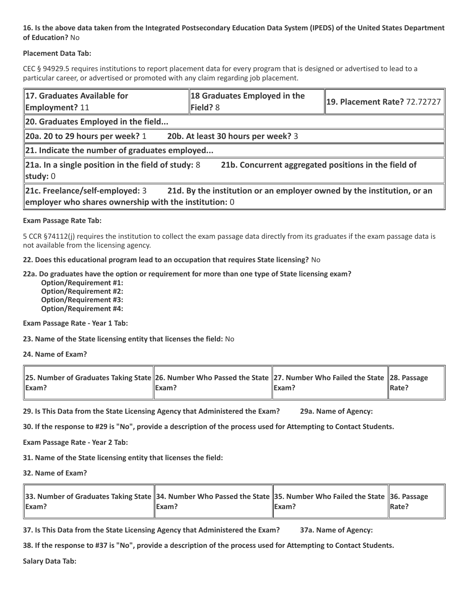#### **Placement Data Tab:**

CEC § 94929.5 requires institutions to report placement data for every program that is designed or advertised to lead to a particular career, or advertised or promoted with any claim regarding job placement.

| 17. Graduates Available for<br><b>Employment? 11</b>                                                                     | 18 Graduates Employed in the<br>Field? 8                               | 19. Placement Rate? 72.72727 |  |
|--------------------------------------------------------------------------------------------------------------------------|------------------------------------------------------------------------|------------------------------|--|
| 20. Graduates Employed in the field                                                                                      |                                                                        |                              |  |
| 20a. 20 to 29 hours per week? 1                                                                                          | 20b. At least 30 hours per week? 3                                     |                              |  |
| $\ $ 21. Indicate the number of graduates employed                                                                       |                                                                        |                              |  |
| 21a. In a single position in the field of study: 8<br>21b. Concurrent aggregated positions in the field of<br>study: $0$ |                                                                        |                              |  |
| 21c. Freelance/self-employed: 3<br>employer who shares ownership with the institution: 0                                 | 21d. By the institution or an employer owned by the institution, or an |                              |  |

#### **Exam Passage Rate Tab:**

5 CCR §74112(j) requires the institution to collect the exam passage data directly from its graduates if the exam passage data is not available from the licensing agency.

**22. Does this educational program lead to an occupation that requires State licensing?** No

**22a. Do graduates have the option or requirement for more than one type of State licensing exam?**

 **Option/Requirement #1: Option/Requirement #2: Option/Requirement #3: Option/Requirement #4:**

**Exam Passage Rate - Year 1 Tab:**

**23. Name of the State licensing entity that licenses the field:** No

**24. Name of Exam?**

| 28. Number of Graduates Taking State 26. Number Who Passed the State 27. Number Who Failed the State 28. Passage |       |                   |                   |
|------------------------------------------------------------------------------------------------------------------|-------|-------------------|-------------------|
| $\mathsf{Exam}$ ?                                                                                                | Exam? | $\mathsf{IExam?}$ | $\parallel$ Rate? |

**29. Is This Data from the State Licensing Agency that Administered the Exam? 29a. Name of Agency:**

**30. If the response to #29 is "No", provide a description of the process used for Attempting to Contact Students.**

**Exam Passage Rate - Year 2 Tab:**

**31. Name of the State licensing entity that licenses the field:**

**32. Name of Exam?**

| 36. Number of Graduates Taking State 34. Number Who Passed the State 35. Number Who Failed the State 36. Passage |         |                    |               |
|------------------------------------------------------------------------------------------------------------------|---------|--------------------|---------------|
| <b>IExam?</b>                                                                                                    | llExam? | $\mathsf{IExam}$ ? | <b>IRate?</b> |

**37. Is This Data from the State Licensing Agency that Administered the Exam? 37a. Name of Agency:**

**38. If the response to #37 is "No", provide a description of the process used for Attempting to Contact Students.**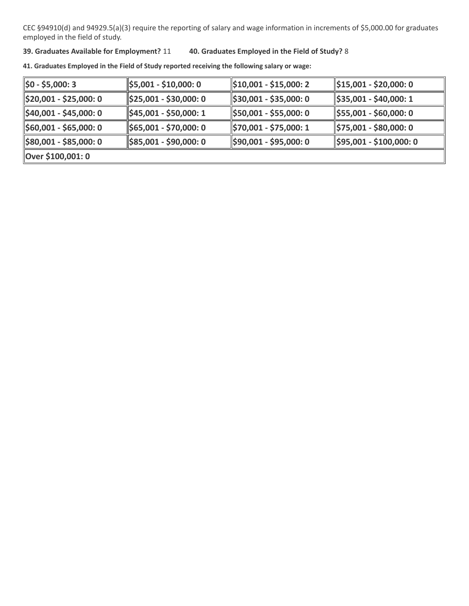#### **39. Graduates Available for Employment?** 11 **40. Graduates Employed in the Field of Study?** 8

| $\left 50 - 55,000:3\right\rangle$  | $\frac{1}{2}$ \$5,001 - \$10,000: 0  | $\frac{1510,001 - $15,000:2}{$      | \$15,001 - \$20,000: 0              |
|-------------------------------------|--------------------------------------|-------------------------------------|-------------------------------------|
| $\frac{1}{2}$ \$20,001 - \$25,000:0 | $\frac{1}{2}$ \$25,001 - \$30,000: 0 | $\frac{1}{2}$ \$30,001 - \$35,000:0 | \$35,001 - \$40,000: 1              |
| $\frac{1}{2}40,001 - $45,000:0$     | \$45,001 - \$50,000: 1               | \$50,001 - \$55,000: 0              | \$55,001 - \$60,000: 0              |
| $\frac{1560,001 - 565,000:0}{$      | $\parallel$ \$65,001 - \$70,000: 0   | \$70,001 - \$75,000: 1              | \$75,001 - \$80,000: 0              |
| $\frac{1}{2}$ \$80,001 - \$85,000:0 | $\frac{1}{2}$ \$85,001 - \$90,000: 0 | \$90,001 - \$95,000: 0              | $\parallel$ \$95,001 - \$100,000: 0 |
| Over \$100,001: 0                   |                                      |                                     |                                     |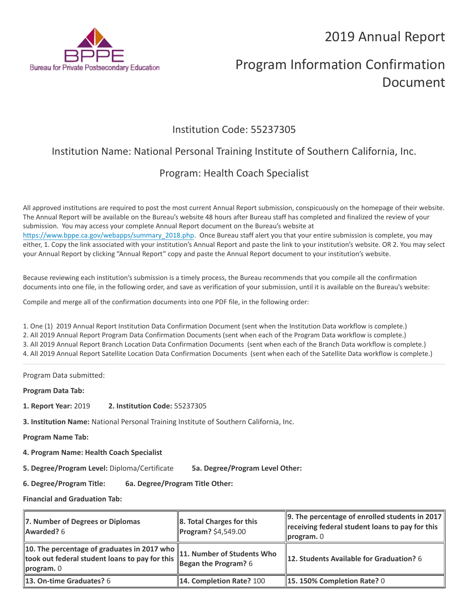

# Program Information Confirmation Document

### Institution Code: 55237305

## Institution Name: National Personal Training Institute of Southern California, Inc.

## Program: Health Coach Specialist

All approved institutions are required to post the most current Annual Report submission, conspicuously on the homepage of their website. The Annual Report will be available on the Bureau's website 48 hours after Bureau staff has completed and finalized the review of your submission. You may access your complete Annual Report document on the Bureau's website at [https://www.bppe.ca.gov/webapps/summary\\_2018.php.](https://www.bppe.ca.gov/webapps/summary_2018.php) Once Bureau staff alert you that your entire submission is complete, you may either, 1. Copy the link associated with your institution's Annual Report and paste the link to your institution's website. OR 2. You may select your Annual Report by clicking "Annual Report" copy and paste the Annual Report document to your institution's website.

Because reviewing each institution's submission is a timely process, the Bureau recommends that you compile all the confirmation documents into one file, in the following order, and save as verification of your submission, until it is available on the Bureau's website:

Compile and merge all of the confirmation documents into one PDF file, in the following order:

1. One (1) 2019 Annual Report Institution Data Confirmation Document (sent when the Institution Data workflow is complete.) 2. All 2019 Annual Report Program Data Confirmation Documents (sent when each of the Program Data workflow is complete.) 3. All 2019 Annual Report Branch Location Data Confirmation Documents (sent when each of the Branch Data workflow is complete.) 4. All 2019 Annual Report Satellite Location Data Confirmation Documents (sent when each of the Satellite Data workflow is complete.)

Program Data submitted:

**Program Data Tab:**

- **1. Report Year:** 2019 **2. Institution Code:** 55237305
- **3. Institution Name:** National Personal Training Institute of Southern California, Inc.

**Program Name Tab:**

**4. Program Name: Health Coach Specialist** 

**5. Degree/Program Level:** Diploma/Certificate **5a. Degree/Program Level Other:**

**6. Degree/Program Title: 6a. Degree/Program Title Other:**

| 7. Number of Degrees or Diplomas<br>Awarded? 6                                                                    | 8. Total Charges for this<br><b>Program?</b> \$4,549.00 | 9. The percentage of enrolled students in 2017<br>receiving federal student loans to pay for this<br>$\mathsf{program}$ . 0 |
|-------------------------------------------------------------------------------------------------------------------|---------------------------------------------------------|-----------------------------------------------------------------------------------------------------------------------------|
| 10. The percentage of graduates in 2017 who $\parallel$ 11. Number of Students Who<br>$\blacksquare$ program. $0$ |                                                         | <b>12. Students Available for Graduation?</b> 6                                                                             |
| <b>13. On-time Graduates? 6</b>                                                                                   | 14. Completion Rate? 100                                | <b>15. 150% Completion Rate? 0</b>                                                                                          |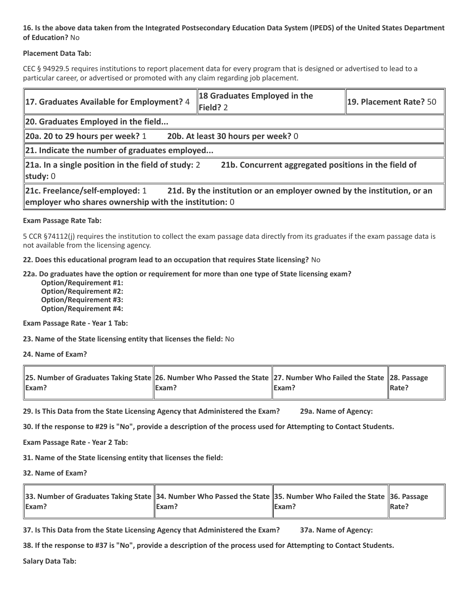#### **Placement Data Tab:**

CEC § 94929.5 requires institutions to report placement data for every program that is designed or advertised to lead to a particular career, or advertised or promoted with any claim regarding job placement.

| 17. Graduates Available for Employment? 4                                                | 18 Graduates Employed in the<br>Field? 2                               | 19. Placement Rate? 50 |  |  |
|------------------------------------------------------------------------------------------|------------------------------------------------------------------------|------------------------|--|--|
| 20. Graduates Employed in the field                                                      |                                                                        |                        |  |  |
| 20a. 20 to 29 hours per week? $1$                                                        | 20b. At least 30 hours per week? 0                                     |                        |  |  |
|                                                                                          | 21. Indicate the number of graduates employed                          |                        |  |  |
| $\ $ 21a. In a single position in the field of study: 2<br>study: $0$                    | 21b. Concurrent aggregated positions in the field of                   |                        |  |  |
| 21c. Freelance/self-employed: 1<br>employer who shares ownership with the institution: 0 | 21d. By the institution or an employer owned by the institution, or an |                        |  |  |

#### **Exam Passage Rate Tab:**

5 CCR §74112(j) requires the institution to collect the exam passage data directly from its graduates if the exam passage data is not available from the licensing agency.

**22. Does this educational program lead to an occupation that requires State licensing?** No

**22a. Do graduates have the option or requirement for more than one type of State licensing exam?**

 **Option/Requirement #1: Option/Requirement #2: Option/Requirement #3: Option/Requirement #4:**

**Exam Passage Rate - Year 1 Tab:**

**23. Name of the State licensing entity that licenses the field:** No

**24. Name of Exam?**

| 28. Number of Graduates Taking State 26. Number Who Passed the State 27. Number Who Failed the State 28. Passage |       |       |                   |
|------------------------------------------------------------------------------------------------------------------|-------|-------|-------------------|
| <b>IExam?</b>                                                                                                    | Exam? | Exam? | $\parallel$ Rate? |

**29. Is This Data from the State Licensing Agency that Administered the Exam? 29a. Name of Agency:**

**30. If the response to #29 is "No", provide a description of the process used for Attempting to Contact Students.**

**Exam Passage Rate - Year 2 Tab:**

**31. Name of the State licensing entity that licenses the field:**

**32. Name of Exam?**

| 33. Number of Graduates Taking State 34. Number Who Passed the State 35. Number Who Failed the State 36. Passage |         |               |               |
|------------------------------------------------------------------------------------------------------------------|---------|---------------|---------------|
| <b>IExam?</b>                                                                                                    | llExam? | <b>IExam?</b> | <b>IRate?</b> |

**37. Is This Data from the State Licensing Agency that Administered the Exam? 37a. Name of Agency:**

**38. If the response to #37 is "No", provide a description of the process used for Attempting to Contact Students.**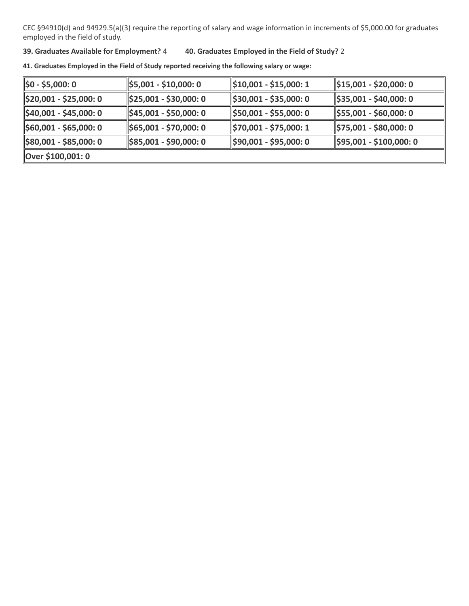#### **39. Graduates Available for Employment?** 4 **40. Graduates Employed in the Field of Study?** 2

| $\parallel$ \$0 - \$5,000: 0        | $\frac{1}{2}$ \$5,001 - \$10,000: 0  | $\parallel$ \$10,001 - \$15,000: 1  | \$15,001 - \$20,000: 0               |
|-------------------------------------|--------------------------------------|-------------------------------------|--------------------------------------|
| $\frac{1}{2}$ \$20,001 - \$25,000:0 | $\frac{1}{2}$ \$25,001 - \$30,000: 0 | $\frac{1}{2}$ \$30,001 - \$35,000:0 | $\parallel$ \$35,001 - \$40,000: 0   |
| $\frac{1}{2}40,001 - $45,000:0$     | $\frac{1}{2}$ \$45,001 - \$50,000: 0 | \$50,001 - \$55,000: 0              | $\frac{1}{2}$ \$55,001 - \$60,000: 0 |
| $\frac{1}{2}$ \$60,001 - \$65,000:0 | $\parallel$ \$65,001 - \$70,000: 0   | \$70,001 - \$75,000: 1              | \$75,001 - \$80,000: 0               |
| $\frac{1}{2}$ \$80,001 - \$85,000:0 | $\parallel$ \$85,001 - \$90,000: 0   | $\frac{1590,001 - $95,000:0}{$      | \$95,001 - \$100,000: 0              |
| Over \$100,001: 0                   |                                      |                                     |                                      |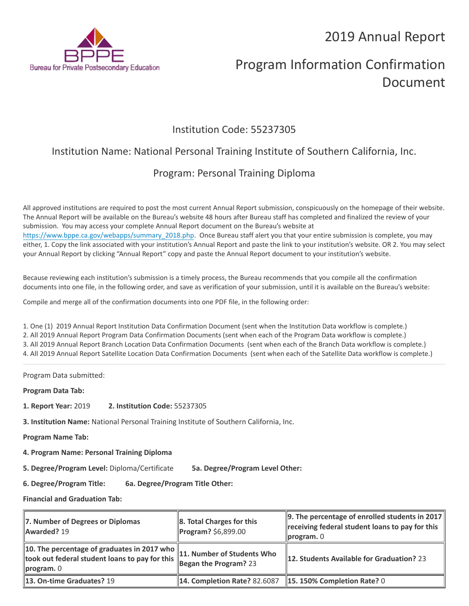

# Program Information Confirmation Document

### Institution Code: 55237305

## Institution Name: National Personal Training Institute of Southern California, Inc.

## Program: Personal Training Diploma

All approved institutions are required to post the most current Annual Report submission, conspicuously on the homepage of their website. The Annual Report will be available on the Bureau's website 48 hours after Bureau staff has completed and finalized the review of your submission. You may access your complete Annual Report document on the Bureau's website at [https://www.bppe.ca.gov/webapps/summary\\_2018.php.](https://www.bppe.ca.gov/webapps/summary_2018.php) Once Bureau staff alert you that your entire submission is complete, you may either, 1. Copy the link associated with your institution's Annual Report and paste the link to your institution's website. OR 2. You may select your Annual Report by clicking "Annual Report" copy and paste the Annual Report document to your institution's website.

Because reviewing each institution's submission is a timely process, the Bureau recommends that you compile all the confirmation documents into one file, in the following order, and save as verification of your submission, until it is available on the Bureau's website:

Compile and merge all of the confirmation documents into one PDF file, in the following order:

1. One (1) 2019 Annual Report Institution Data Confirmation Document (sent when the Institution Data workflow is complete.) 2. All 2019 Annual Report Program Data Confirmation Documents (sent when each of the Program Data workflow is complete.) 3. All 2019 Annual Report Branch Location Data Confirmation Documents (sent when each of the Branch Data workflow is complete.) 4. All 2019 Annual Report Satellite Location Data Confirmation Documents (sent when each of the Satellite Data workflow is complete.)

Program Data submitted:

**Program Data Tab:**

- **1. Report Year:** 2019 **2. Institution Code:** 55237305
- **3. Institution Name:** National Personal Training Institute of Southern California, Inc.

**Program Name Tab:**

**4. Program Name: Personal Training Diploma** 

**5. Degree/Program Level:** Diploma/Certificate **5a. Degree/Program Level Other:**

**6. Degree/Program Title: 6a. Degree/Program Title Other:**

| 7. Number of Degrees or Diplomas<br>Awarded? 19                                                                                                                                                                          | 8. Total Charges for this<br>Program? \$6,899.00                | $\parallel$ 9. The percentage of enrolled students in 2017 $\parallel$<br>receiving federal student loans to pay for this<br>$\ $ program. $0$ |
|--------------------------------------------------------------------------------------------------------------------------------------------------------------------------------------------------------------------------|-----------------------------------------------------------------|------------------------------------------------------------------------------------------------------------------------------------------------|
| 10. The percentage of graduates in 2017 who $\parallel$ 11. Number of Students Who<br>took out federal student loans to pay for this <b>Figure 20 April 1998</b><br>Regan the Program? 23<br>$\blacksquare$ program. $0$ |                                                                 | 12. Students Available for Graduation? 23                                                                                                      |
| <b>13. On-time Graduates? 19</b>                                                                                                                                                                                         | <b>14. Completion Rate? 82.6087 15. 150% Completion Rate? 0</b> |                                                                                                                                                |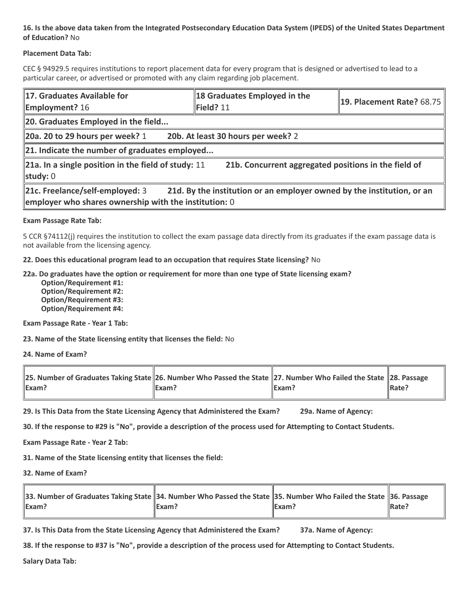#### **Placement Data Tab:**

CEC § 94929.5 requires institutions to report placement data for every program that is designed or advertised to lead to a particular career, or advertised or promoted with any claim regarding job placement.

| 17. Graduates Available for<br><b>Employment?</b> 16                                     | 18 Graduates Employed in the<br>Field? 11                              | <b>19. Placement Rate? 68.75</b> |
|------------------------------------------------------------------------------------------|------------------------------------------------------------------------|----------------------------------|
| 20. Graduates Employed in the field                                                      |                                                                        |                                  |
| 20a. 20 to 29 hours per week? $1$                                                        | 20b. At least 30 hours per week? 2                                     |                                  |
| $\ $ 21. Indicate the number of graduates employed                                       |                                                                        |                                  |
| 21a. In a single position in the field of study: $11$<br>study: $0$                      | 21b. Concurrent aggregated positions in the field of                   |                                  |
| 21c. Freelance/self-employed: 3<br>employer who shares ownership with the institution: 0 | 21d. By the institution or an employer owned by the institution, or an |                                  |

#### **Exam Passage Rate Tab:**

5 CCR §74112(j) requires the institution to collect the exam passage data directly from its graduates if the exam passage data is not available from the licensing agency.

**22. Does this educational program lead to an occupation that requires State licensing?** No

**22a. Do graduates have the option or requirement for more than one type of State licensing exam?**

 **Option/Requirement #1: Option/Requirement #2: Option/Requirement #3: Option/Requirement #4:**

**Exam Passage Rate - Year 1 Tab:**

**23. Name of the State licensing entity that licenses the field:** No

**24. Name of Exam?**

| 28. Number of Graduates Taking State 26. Number Who Passed the State 27. Number Who Failed the State 28. Passage |       |                   |                   |
|------------------------------------------------------------------------------------------------------------------|-------|-------------------|-------------------|
| $\mathsf{Exam}$ ?                                                                                                | Exam? | $\mathsf{IExam?}$ | $\parallel$ Rate? |

**29. Is This Data from the State Licensing Agency that Administered the Exam? 29a. Name of Agency:**

**30. If the response to #29 is "No", provide a description of the process used for Attempting to Contact Students.**

**Exam Passage Rate - Year 2 Tab:**

**31. Name of the State licensing entity that licenses the field:**

**32. Name of Exam?**

| 36. Passage 36. Passage 34. Number Who Passed the State 35. Number Who Failed the State 36. Passage |         |               |               |
|-----------------------------------------------------------------------------------------------------|---------|---------------|---------------|
| Exam?                                                                                               | llExam? | <b>IExam?</b> | <b>IRate?</b> |

**37. Is This Data from the State Licensing Agency that Administered the Exam? 37a. Name of Agency:**

**38. If the response to #37 is "No", provide a description of the process used for Attempting to Contact Students.**